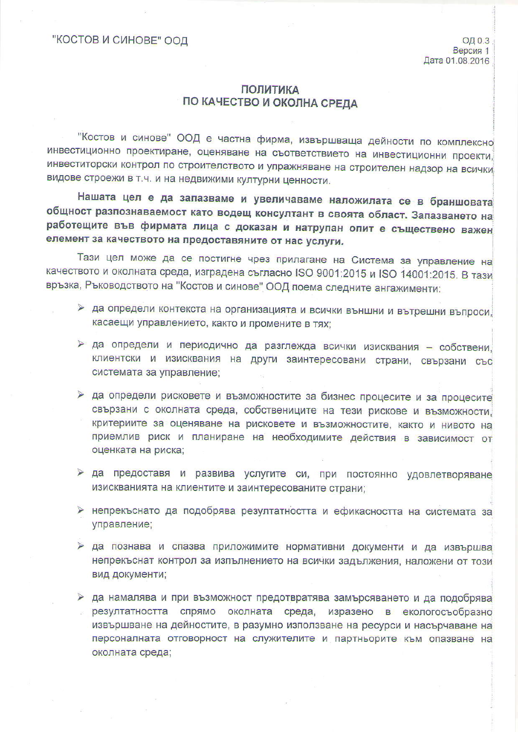## **ПОЛИТИКА** ПО КАЧЕСТВО И ОКОЛНА СРЕДА

"Костов и синове" ООД е частна фирма, извършваща дейности по комплексно инвестиционно проектиране, оценяване на съответствието на инвестиционни проекти, инвеститорски контрол по строителството и упражняване на строителен надзор на всички видове строежи в т.ч. и на недвижими културни ценности.

Нашата цел е да запазваме и увеличаваме наложилата се в браншовата общност разпознаваемост като водещ консултант в своята област. Запазването на работещите във фирмата лица с доказан и натрупан опит е съществено важен елемент за качеството на предоставяните от нас услуги.

Тази цел може да се постигне чрез прилагане на Система за управление на качеството и околната среда, изградена съгласно ISO 9001:2015 и ISO 14001:2015. В тази връзка, Ръководството на "Костов и синове" ООД поема следните ангажименти:

- > да определи контекста на организацията и всички външни и вътрешни въпроси. касаещи управлението, както и промените в тях:
- > да определи и периодично да разглежда всички изисквания собствени, клиентски и изисквания на други заинтересовани страни, свързани със системата за управление:
- > да определи рисковете и възможностите за бизнес процесите и за процесите свързани с околната среда, собствениците на тези рискове и възможности. критериите за оценяване на рисковете и възможностите, както и нивото на приемлив риск и планиране на необходимите действия в зависимост от оценката на риска;
- > да предоставя и развива услугите си, при постоянно удовлетворяване изискванията на клиентите и заинтересованите страни;
- > непрекъснато да подобрява резултатността и ефикасността на системата за управление;
- > да познава и спазва приложимите нормативни документи и да извършва непрекъснат контрол за изпълнението на всички задължения, наложени от този вид документи;
- > да намалява и при възможност предотвратява замърсяването и да подобрява резултатността спрямо околната среда, изразено в екологосъобразно извършване на дейностите, в разумно използване на ресурси и насърчаване на персоналната отговорност на служителите и партньорите към опазване на околната среда;